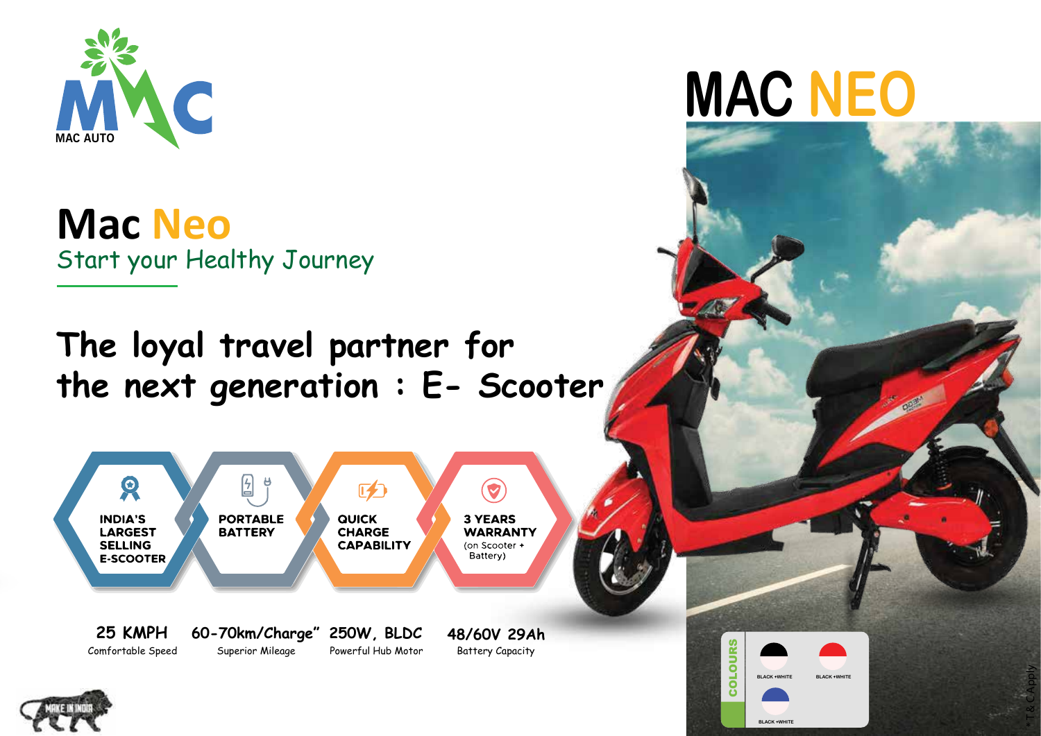

**Mac Neo** Start your Healthy Journey

**The loyal travel partner for the next generation : E- Scooter**







CO

**BLACK +WHITE**

**BLACK +WHITE**

 $*T & C$ 

Apply

**BLACK +WHITE**

LOURS